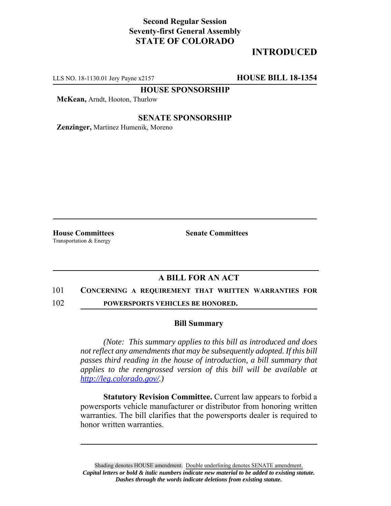## **Second Regular Session Seventy-first General Assembly STATE OF COLORADO**

# **INTRODUCED**

LLS NO. 18-1130.01 Jery Payne x2157 **HOUSE BILL 18-1354**

**HOUSE SPONSORSHIP**

**McKean,** Arndt, Hooton, Thurlow

### **SENATE SPONSORSHIP**

**Zenzinger,** Martinez Humenik, Moreno

Transportation & Energy

**House Committees Senate Committees**

## **A BILL FOR AN ACT**

#### 101 **CONCERNING A REQUIREMENT THAT WRITTEN WARRANTIES FOR**

102 **POWERSPORTS VEHICLES BE HONORED.**

#### **Bill Summary**

*(Note: This summary applies to this bill as introduced and does not reflect any amendments that may be subsequently adopted. If this bill passes third reading in the house of introduction, a bill summary that applies to the reengrossed version of this bill will be available at http://leg.colorado.gov/.)*

**Statutory Revision Committee.** Current law appears to forbid a powersports vehicle manufacturer or distributor from honoring written warranties. The bill clarifies that the powersports dealer is required to honor written warranties.

Shading denotes HOUSE amendment. Double underlining denotes SENATE amendment. *Capital letters or bold & italic numbers indicate new material to be added to existing statute. Dashes through the words indicate deletions from existing statute.*